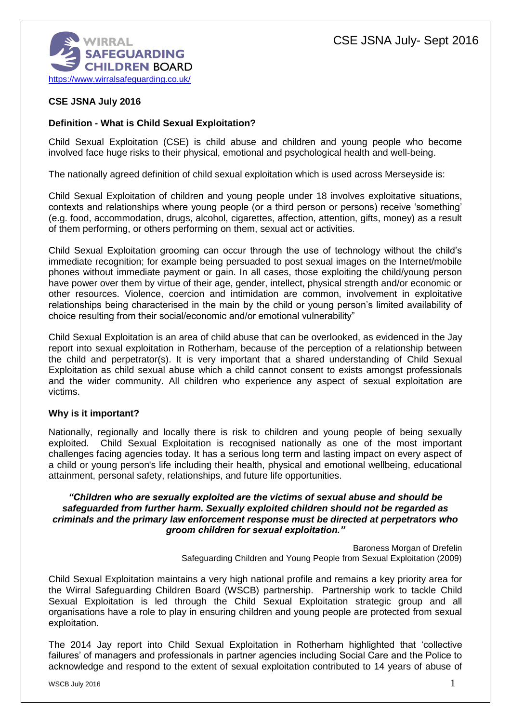

# **CSE JSNA July 2016**

## **Definition - What is Child Sexual Exploitation?**

Child Sexual Exploitation (CSE) is child abuse and children and young people who become involved face huge risks to their physical, emotional and psychological health and well-being.

The nationally agreed definition of child sexual exploitation which is used across Merseyside is:

Child Sexual Exploitation of children and young people under 18 involves exploitative situations, contexts and relationships where young people (or a third person or persons) receive 'something' (e.g. food, accommodation, drugs, alcohol, cigarettes, affection, attention, gifts, money) as a result of them performing, or others performing on them, sexual act or activities.

Child Sexual Exploitation grooming can occur through the use of technology without the child's immediate recognition; for example being persuaded to post sexual images on the Internet/mobile phones without immediate payment or gain. In all cases, those exploiting the child/young person have power over them by virtue of their age, gender, intellect, physical strength and/or economic or other resources. Violence, coercion and intimidation are common, involvement in exploitative relationships being characterised in the main by the child or young person's limited availability of choice resulting from their social/economic and/or emotional vulnerability"

Child Sexual Exploitation is an area of child abuse that can be overlooked, as evidenced in the Jay report into sexual exploitation in Rotherham, because of the perception of a relationship between the child and perpetrator(s). It is very important that a shared understanding of Child Sexual Exploitation as child sexual abuse which a child cannot consent to exists amongst professionals and the wider community. All children who experience any aspect of sexual exploitation are victims.

## **Why is it important?**

Nationally, regionally and locally there is risk to children and young people of being sexually exploited. Child Sexual Exploitation is recognised nationally as one of the most important challenges facing agencies today. It has a serious long term and lasting impact on every aspect of a child or young person's life including their health, physical and emotional wellbeing, educational attainment, personal safety, relationships, and future life opportunities.

### *"Children who are sexually exploited are the victims of sexual abuse and should be safeguarded from further harm. Sexually exploited children should not be regarded as criminals and the primary law enforcement response must be directed at perpetrators who groom children for sexual exploitation."*

Baroness Morgan of Drefelin Safeguarding Children and Young People from Sexual Exploitation (2009)

Child Sexual Exploitation maintains a very high national profile and remains a key priority area for the Wirral Safeguarding Children Board (WSCB) partnership. Partnership work to tackle Child Sexual Exploitation is led through the Child Sexual Exploitation strategic group and all organisations have a role to play in ensuring children and young people are protected from sexual exploitation.

The 2014 Jay report into Child Sexual Exploitation in Rotherham highlighted that 'collective failures' of managers and professionals in partner agencies including Social Care and the Police to acknowledge and respond to the extent of sexual exploitation contributed to 14 years of abuse of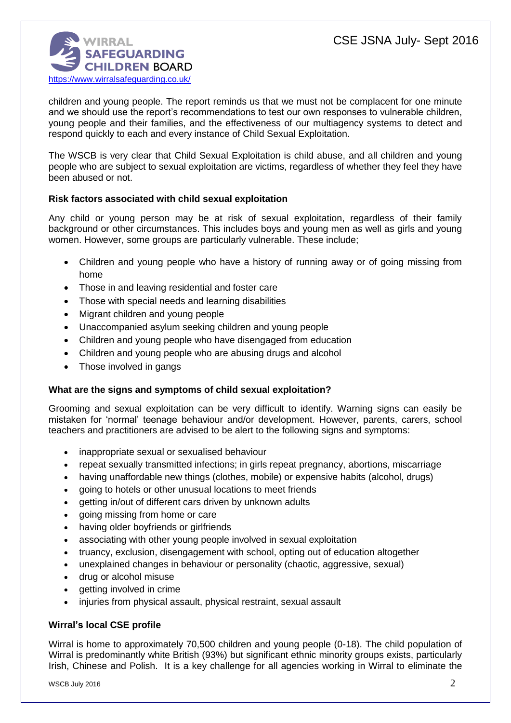

children and young people. The report reminds us that we must not be complacent for one minute and we should use the report's recommendations to test our own responses to vulnerable children, young people and their families, and the effectiveness of our multiagency systems to detect and respond quickly to each and every instance of Child Sexual Exploitation.

The WSCB is very clear that Child Sexual Exploitation is child abuse, and all children and young people who are subject to sexual exploitation are victims, regardless of whether they feel they have been abused or not.

# **Risk factors associated with child sexual exploitation**

Any child or young person may be at risk of sexual exploitation, regardless of their family background or other circumstances. This includes boys and young men as well as girls and young women. However, some groups are particularly vulnerable. These include;

- Children and young people who have a history of running away or of going missing from home
- Those in and leaving residential and foster care
- Those with special needs and learning disabilities
- Migrant children and young people
- Unaccompanied asylum seeking children and young people
- Children and young people who have disengaged from education
- Children and young people who are abusing drugs and alcohol
- Those involved in gangs

## **What are the signs and symptoms of child sexual exploitation?**

Grooming and sexual exploitation can be very difficult to identify. Warning signs can easily be mistaken for 'normal' teenage behaviour and/or development. However, parents, carers, school teachers and practitioners are advised to be alert to the following signs and symptoms:

- inappropriate sexual or sexualised behaviour
- repeat sexually transmitted infections; in girls repeat pregnancy, abortions, miscarriage
- having unaffordable new things (clothes, mobile) or expensive habits (alcohol, drugs)
- going to hotels or other unusual locations to meet friends
- getting in/out of different cars driven by unknown adults
- going missing from home or care
- having older boyfriends or girlfriends
- associating with other young people involved in sexual exploitation
- truancy, exclusion, disengagement with school, opting out of education altogether
- unexplained changes in behaviour or personality (chaotic, aggressive, sexual)
- drug or alcohol misuse
- getting involved in crime
- injuries from physical assault, physical restraint, sexual assault

## **Wirral's local CSE profile**

Wirral is home to approximately 70,500 children and young people (0-18). The child population of Wirral is predominantly white British (93%) but significant ethnic minority groups exists, particularly Irish, Chinese and Polish. It is a key challenge for all agencies working in Wirral to eliminate the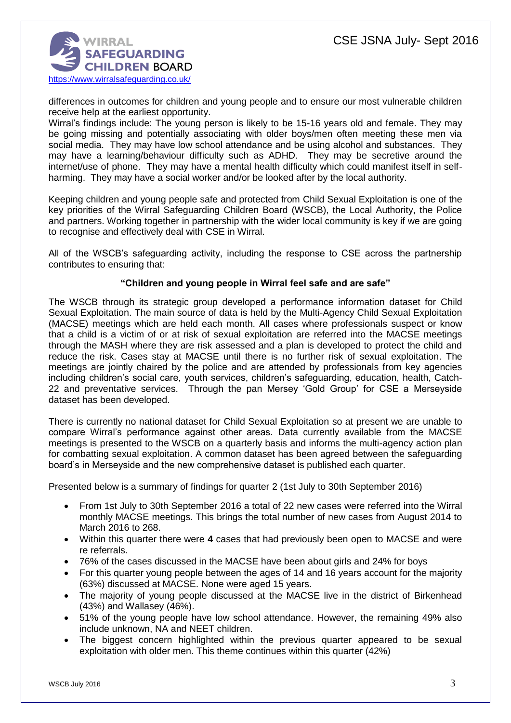

differences in outcomes for children and young people and to ensure our most vulnerable children receive help at the earliest opportunity.

Wirral's findings include: The young person is likely to be 15-16 years old and female. They may be going missing and potentially associating with older boys/men often meeting these men via social media. They may have low school attendance and be using alcohol and substances. They may have a learning/behaviour difficulty such as ADHD. They may be secretive around the internet/use of phone. They may have a mental health difficulty which could manifest itself in selfharming. They may have a social worker and/or be looked after by the local authority.

Keeping children and young people safe and protected from Child Sexual Exploitation is one of the key priorities of the Wirral Safeguarding Children Board (WSCB), the Local Authority, the Police and partners. Working together in partnership with the wider local community is key if we are going to recognise and effectively deal with CSE in Wirral.

All of the WSCB's safeguarding activity, including the response to CSE across the partnership contributes to ensuring that:

## **"Children and young people in Wirral feel safe and are safe"**

The WSCB through its strategic group developed a performance information dataset for Child Sexual Exploitation. The main source of data is held by the Multi-Agency Child Sexual Exploitation (MACSE) meetings which are held each month. All cases where professionals suspect or know that a child is a victim of or at risk of sexual exploitation are referred into the MACSE meetings through the MASH where they are risk assessed and a plan is developed to protect the child and reduce the risk. Cases stay at MACSE until there is no further risk of sexual exploitation. The meetings are jointly chaired by the police and are attended by professionals from key agencies including children's social care, youth services, children's safeguarding, education, health, Catch-22 and preventative services. Through the pan Mersey 'Gold Group' for CSE a Merseyside dataset has been developed.

There is currently no national dataset for Child Sexual Exploitation so at present we are unable to compare Wirral's performance against other areas. Data currently available from the MACSE meetings is presented to the WSCB on a quarterly basis and informs the multi-agency action plan for combatting sexual exploitation. A common dataset has been agreed between the safeguarding board's in Merseyside and the new comprehensive dataset is published each quarter.

Presented below is a summary of findings for quarter 2 (1st July to 30th September 2016)

- From 1st July to 30th September 2016 a total of 22 new cases were referred into the Wirral monthly MACSE meetings. This brings the total number of new cases from August 2014 to March 2016 to 268.
- Within this quarter there were **4** cases that had previously been open to MACSE and were re referrals.
- 76% of the cases discussed in the MACSE have been about girls and 24% for boys
- For this quarter young people between the ages of 14 and 16 years account for the majority (63%) discussed at MACSE. None were aged 15 years.
- The majority of young people discussed at the MACSE live in the district of Birkenhead (43%) and Wallasey (46%).
- 51% of the young people have low school attendance. However, the remaining 49% also include unknown, NA and NEET children.
- The biggest concern highlighted within the previous quarter appeared to be sexual exploitation with older men. This theme continues within this quarter (42%)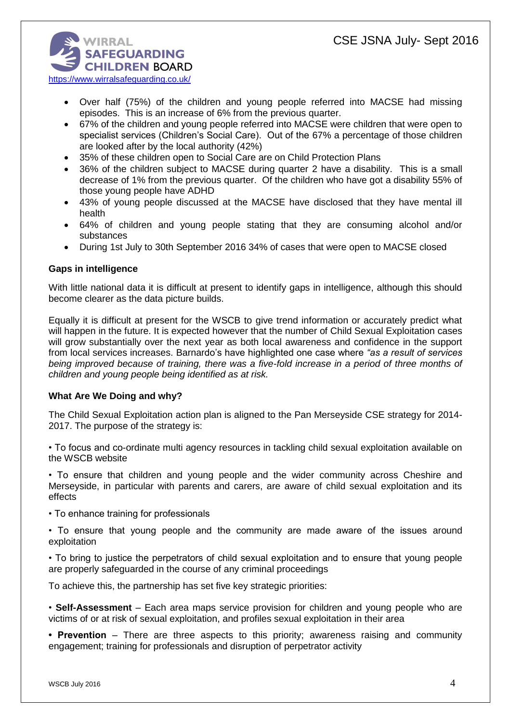

- Over half (75%) of the children and young people referred into MACSE had missing episodes. This is an increase of 6% from the previous quarter.
- 67% of the children and young people referred into MACSE were children that were open to specialist services (Children's Social Care). Out of the 67% a percentage of those children are looked after by the local authority (42%)
- 35% of these children open to Social Care are on Child Protection Plans
- 36% of the children subject to MACSE during quarter 2 have a disability. This is a small decrease of 1% from the previous quarter. Of the children who have got a disability 55% of those young people have ADHD
- 43% of young people discussed at the MACSE have disclosed that they have mental ill health
- 64% of children and young people stating that they are consuming alcohol and/or substances
- During 1st July to 30th September 2016 34% of cases that were open to MACSE closed

## **Gaps in intelligence**

With little national data it is difficult at present to identify gaps in intelligence, although this should become clearer as the data picture builds.

Equally it is difficult at present for the WSCB to give trend information or accurately predict what will happen in the future. It is expected however that the number of Child Sexual Exploitation cases will grow substantially over the next year as both local awareness and confidence in the support from local services increases. Barnardo's have highlighted one case where *"as a result of services being improved because of training, there was a five-fold increase in a period of three months of children and young people being identified as at risk.*

## **What Are We Doing and why?**

The Child Sexual Exploitation action plan is aligned to the Pan Merseyside CSE strategy for 2014- 2017. The purpose of the strategy is:

• To focus and co-ordinate multi agency resources in tackling child sexual exploitation available on the WSCB website

• To ensure that children and young people and the wider community across Cheshire and Merseyside, in particular with parents and carers, are aware of child sexual exploitation and its effects

• To enhance training for professionals

• To ensure that young people and the community are made aware of the issues around exploitation

• To bring to justice the perpetrators of child sexual exploitation and to ensure that young people are properly safeguarded in the course of any criminal proceedings

To achieve this, the partnership has set five key strategic priorities:

• **Self-Assessment** – Each area maps service provision for children and young people who are victims of or at risk of sexual exploitation, and profiles sexual exploitation in their area

**• Prevention** – There are three aspects to this priority; awareness raising and community engagement; training for professionals and disruption of perpetrator activity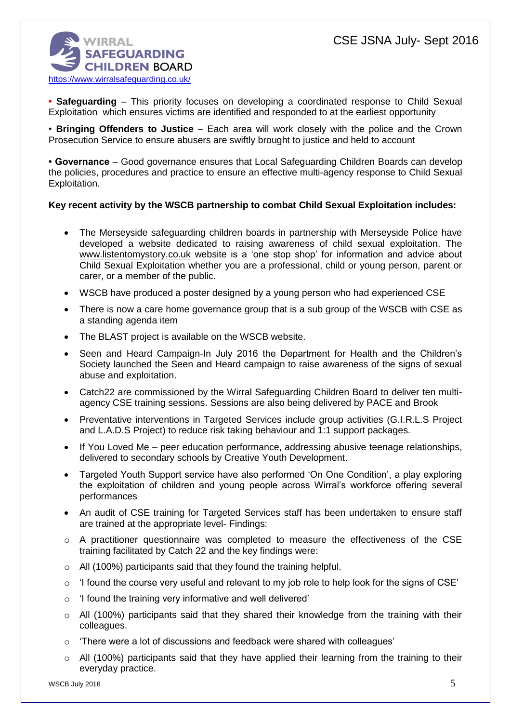

**• Safeguarding** – This priority focuses on developing a coordinated response to Child Sexual Exploitation which ensures victims are identified and responded to at the earliest opportunity

• **Bringing Offenders to Justice** – Each area will work closely with the police and the Crown Prosecution Service to ensure abusers are swiftly brought to justice and held to account

**• Governance** – Good governance ensures that Local Safeguarding Children Boards can develop the policies, procedures and practice to ensure an effective multi-agency response to Child Sexual Exploitation.

## **Key recent activity by the WSCB partnership to combat Child Sexual Exploitation includes:**

- The Merseyside safeguarding children boards in partnership with Merseyside Police have developed a website dedicated to raising awareness of child sexual exploitation. The [www.listentomystory.co.uk](http://www.listentomystory.co.uk/) website is a 'one stop shop' for information and advice about Child Sexual Exploitation whether you are a professional, child or young person, parent or carer, or a member of the public.
- WSCB have produced a poster designed by a young person who had experienced CSE
- There is now a care home governance group that is a sub group of the WSCB with CSE as a standing agenda item
- The BLAST project is available on the WSCB website.
- Seen and Heard Campaign-In July 2016 the Department for Health and the Children's Society launched the Seen and Heard campaign to raise awareness of the signs of sexual abuse and exploitation.
- Catch22 are commissioned by the Wirral Safeguarding Children Board to deliver ten multiagency CSE training sessions. Sessions are also being delivered by PACE and Brook
- Preventative interventions in Targeted Services include group activities (G.I.R.L.S Project and L.A.D.S Project) to reduce risk taking behaviour and 1:1 support packages.
- If You Loved Me peer education performance, addressing abusive teenage relationships, delivered to secondary schools by Creative Youth Development.
- Targeted Youth Support service have also performed 'On One Condition', a play exploring the exploitation of children and young people across Wirral's workforce offering several performances
- An audit of CSE training for Targeted Services staff has been undertaken to ensure staff are trained at the appropriate level- Findings:
- $\circ$  A practitioner questionnaire was completed to measure the effectiveness of the CSE training facilitated by Catch 22 and the key findings were:
- $\circ$  All (100%) participants said that they found the training helpful.
- $\circ$  'I found the course very useful and relevant to my job role to help look for the signs of CSE'
- $\circ$  'I found the training very informative and well delivered'
- o All (100%) participants said that they shared their knowledge from the training with their colleagues.
- $\circ$  'There were a lot of discussions and feedback were shared with colleagues'
- $\circ$  All (100%) participants said that they have applied their learning from the training to their everyday practice.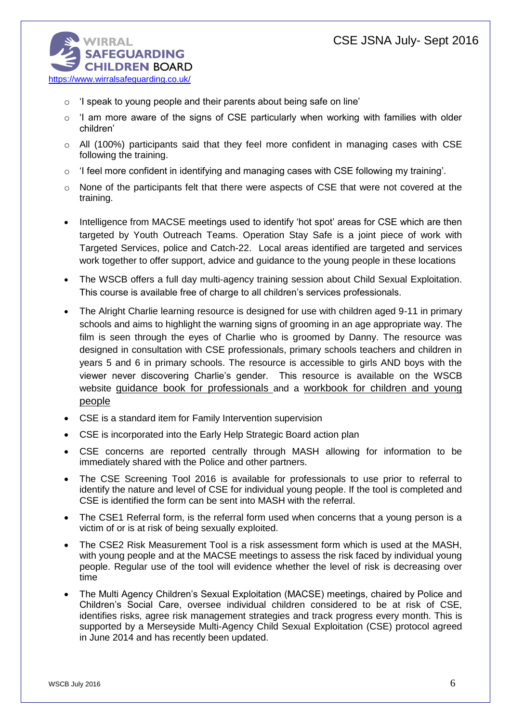

- o 'I speak to young people and their parents about being safe on line'
- $\circ$  'I am more aware of the signs of CSE particularly when working with families with older children'
- $\circ$  All (100%) participants said that they feel more confident in managing cases with CSE following the training.
- $\circ$  'I feel more confident in identifying and managing cases with CSE following my training'.
- $\circ$  None of the participants felt that there were aspects of CSE that were not covered at the training.
- Intelligence from MACSE meetings used to identify 'hot spot' areas for CSE which are then targeted by Youth Outreach Teams. Operation Stay Safe is a joint piece of work with Targeted Services, police and Catch-22. Local areas identified are targeted and services work together to offer support, advice and guidance to the young people in these locations
- The WSCB offers a full day multi-agency training session about Child Sexual Exploitation. This course is available free of charge to all children's services professionals.
- The Alright Charlie learning resource is designed for use with children aged 9-11 in primary schools and aims to highlight the warning signs of grooming in an age appropriate way. The film is seen through the eyes of Charlie who is groomed by Danny. The resource was designed in consultation with CSE professionals, primary schools teachers and children in years 5 and 6 in primary schools. The resource is accessible to girls AND boys with the viewer never discovering Charlie's gender. This resource is available on the WSCB website [guidance book for professionals](http://www.wirralsafeguarding.co.uk/wp-content/uploads/2016/02/alright-charlie-professionals-guidance.pdf) and a workbook for children and young people
- CSE is a standard item for Family Intervention supervision
- CSE is incorporated into the Early Help Strategic Board action plan
- CSE concerns are reported centrally through MASH allowing for information to be immediately shared with the Police and other partners.
- The CSE Screening Tool 2016 is available for professionals to use prior to referral to identify the nature and level of CSE for individual young people. If the tool is completed and CSE is identified the form can be sent into MASH with the referral.
- The CSE1 Referral form, is the referral form used when concerns that a young person is a victim of or is at risk of being sexually exploited.
- The CSE2 Risk Measurement Tool is a risk assessment form which is used at the MASH, with young people and at the MACSE meetings to assess the risk faced by individual young people. Regular use of the tool will evidence whether the level of risk is decreasing over time
- The Multi Agency Children's Sexual Exploitation (MACSE) meetings, chaired by Police and Children's Social Care, oversee individual children considered to be at risk of CSE, identifies risks, agree risk management strategies and track progress every month. This is supported by a Merseyside Multi-Agency Child Sexual Exploitation (CSE) protocol agreed in June 2014 and has recently been updated.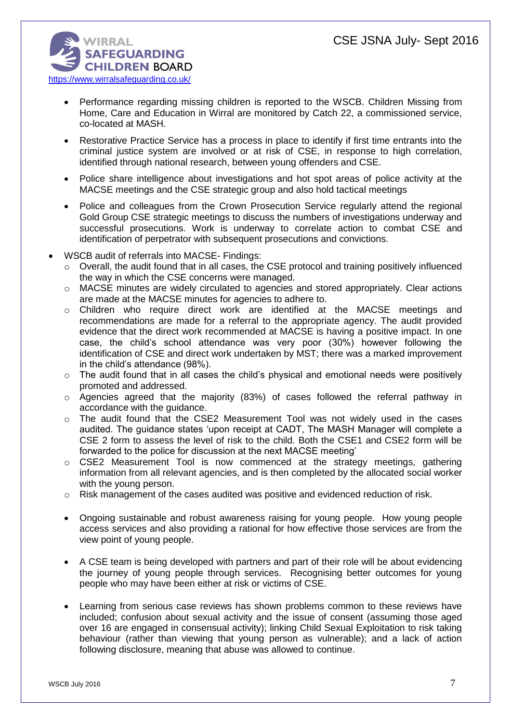

- Performance regarding missing children is reported to the WSCB. Children Missing from Home, Care and Education in Wirral are monitored by Catch 22, a commissioned service, co-located at MASH.
- Restorative Practice Service has a process in place to identify if first time entrants into the criminal justice system are involved or at risk of CSE, in response to high correlation, identified through national research, between young offenders and CSE.
- Police share intelligence about investigations and hot spot areas of police activity at the MACSE meetings and the CSE strategic group and also hold tactical meetings
- Police and colleagues from the Crown Prosecution Service regularly attend the regional Gold Group CSE strategic meetings to discuss the numbers of investigations underway and successful prosecutions. Work is underway to correlate action to combat CSE and identification of perpetrator with subsequent prosecutions and convictions.
- WSCB audit of referrals into MACSE- Findings:
	- o Overall, the audit found that in all cases, the CSE protocol and training positively influenced the way in which the CSE concerns were managed.
	- o MACSE minutes are widely circulated to agencies and stored appropriately. Clear actions are made at the MACSE minutes for agencies to adhere to.
	- o Children who require direct work are identified at the MACSE meetings and recommendations are made for a referral to the appropriate agency. The audit provided evidence that the direct work recommended at MACSE is having a positive impact. In one case, the child's school attendance was very poor (30%) however following the identification of CSE and direct work undertaken by MST; there was a marked improvement in the child's attendance (98%).
	- $\circ$  The audit found that in all cases the child's physical and emotional needs were positively promoted and addressed.
	- o Agencies agreed that the majority (83%) of cases followed the referral pathway in accordance with the guidance.
	- o The audit found that the CSE2 Measurement Tool was not widely used in the cases audited. The guidance states 'upon receipt at CADT, The MASH Manager will complete a CSE 2 form to assess the level of risk to the child. Both the CSE1 and CSE2 form will be forwarded to the police for discussion at the next MACSE meeting'
	- o CSE2 Measurement Tool is now commenced at the strategy meetings, gathering information from all relevant agencies, and is then completed by the allocated social worker with the young person.
	- $\circ$  Risk management of the cases audited was positive and evidenced reduction of risk.
	- Ongoing sustainable and robust awareness raising for young people. How young people access services and also providing a rational for how effective those services are from the view point of young people.
	- A CSE team is being developed with partners and part of their role will be about evidencing the journey of young people through services. Recognising better outcomes for young people who may have been either at risk or victims of CSE.
	- Learning from serious case reviews has shown problems common to these reviews have included; confusion about sexual activity and the issue of consent (assuming those aged over 16 are engaged in consensual activity); linking Child Sexual Exploitation to risk taking behaviour (rather than viewing that young person as vulnerable); and a lack of action following disclosure, meaning that abuse was allowed to continue.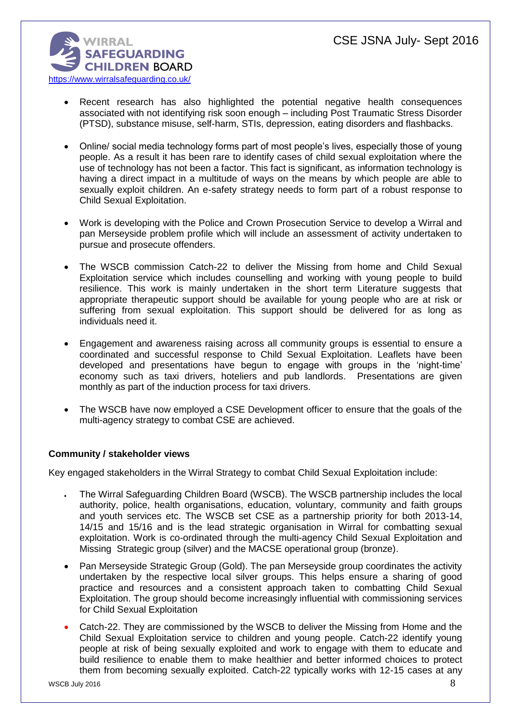

- Recent research has also highlighted the potential negative health consequences associated with not identifying risk soon enough – including Post Traumatic Stress Disorder (PTSD), substance misuse, self-harm, STIs, depression, eating disorders and flashbacks.
- Online/ social media technology forms part of most people's lives, especially those of young people. As a result it has been rare to identify cases of child sexual exploitation where the use of technology has not been a factor. This fact is significant, as information technology is having a direct impact in a multitude of ways on the means by which people are able to sexually exploit children. An e-safety strategy needs to form part of a robust response to Child Sexual Exploitation.
- Work is developing with the Police and Crown Prosecution Service to develop a Wirral and pan Merseyside problem profile which will include an assessment of activity undertaken to pursue and prosecute offenders.
- The WSCB commission Catch-22 to deliver the Missing from home and Child Sexual Exploitation service which includes counselling and working with young people to build resilience. This work is mainly undertaken in the short term Literature suggests that appropriate therapeutic support should be available for young people who are at risk or suffering from sexual exploitation. This support should be delivered for as long as individuals need it.
- Engagement and awareness raising across all community groups is essential to ensure a coordinated and successful response to Child Sexual Exploitation. Leaflets have been developed and presentations have begun to engage with groups in the 'night-time' economy such as taxi drivers, hoteliers and pub landlords. Presentations are given monthly as part of the induction process for taxi drivers.
- The WSCB have now employed a CSE Development officer to ensure that the goals of the multi-agency strategy to combat CSE are achieved.

# **Community / stakeholder views**

Key engaged stakeholders in the Wirral Strategy to combat Child Sexual Exploitation include:

- The Wirral Safeguarding Children Board (WSCB). The WSCB partnership includes the local authority, police, health organisations, education, voluntary, community and faith groups and youth services etc. The WSCB set CSE as a partnership priority for both 2013-14, 14/15 and 15/16 and is the lead strategic organisation in Wirral for combatting sexual exploitation. Work is co-ordinated through the multi-agency Child Sexual Exploitation and Missing Strategic group (silver) and the MACSE operational group (bronze).
- Pan Merseyside Strategic Group (Gold). The pan Merseyside group coordinates the activity undertaken by the respective local silver groups. This helps ensure a sharing of good practice and resources and a consistent approach taken to combatting Child Sexual Exploitation. The group should become increasingly influential with commissioning services for Child Sexual Exploitation
- Catch-22. They are commissioned by the WSCB to deliver the Missing from Home and the Child Sexual Exploitation service to children and young people. Catch-22 identify young people at risk of being sexually exploited and work to engage with them to educate and build resilience to enable them to make healthier and better informed choices to protect them from becoming sexually exploited. Catch-22 typically works with 12-15 cases at any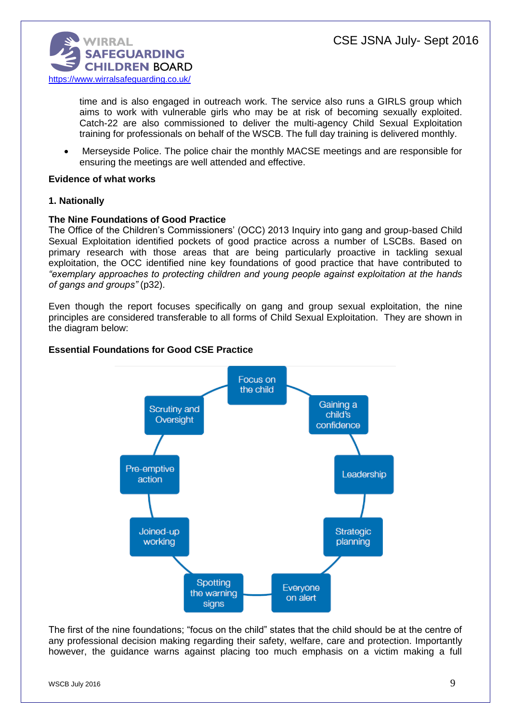

time and is also engaged in outreach work. The service also runs a GIRLS group which aims to work with vulnerable girls who may be at risk of becoming sexually exploited. Catch-22 are also commissioned to deliver the multi-agency Child Sexual Exploitation training for professionals on behalf of the WSCB. The full day training is delivered monthly.

 Merseyside Police. The police chair the monthly MACSE meetings and are responsible for ensuring the meetings are well attended and effective.

### **Evidence of what works**

## **1. Nationally**

### **The Nine Foundations of Good Practice**

The Office of the Children's Commissioners' (OCC) 2013 Inquiry into gang and group-based Child Sexual Exploitation identified pockets of good practice across a number of LSCBs. Based on primary research with those areas that are being particularly proactive in tackling sexual exploitation, the OCC identified nine key foundations of good practice that have contributed to *"exemplary approaches to protecting children and young people against exploitation at the hands of gangs and groups"* (p32).

Even though the report focuses specifically on gang and group sexual exploitation, the nine principles are considered transferable to all forms of Child Sexual Exploitation. They are shown in the diagram below:

### **Essential Foundations for Good CSE Practice**



The first of the nine foundations; "focus on the child" states that the child should be at the centre of any professional decision making regarding their safety, welfare, care and protection. Importantly however, the guidance warns against placing too much emphasis on a victim making a full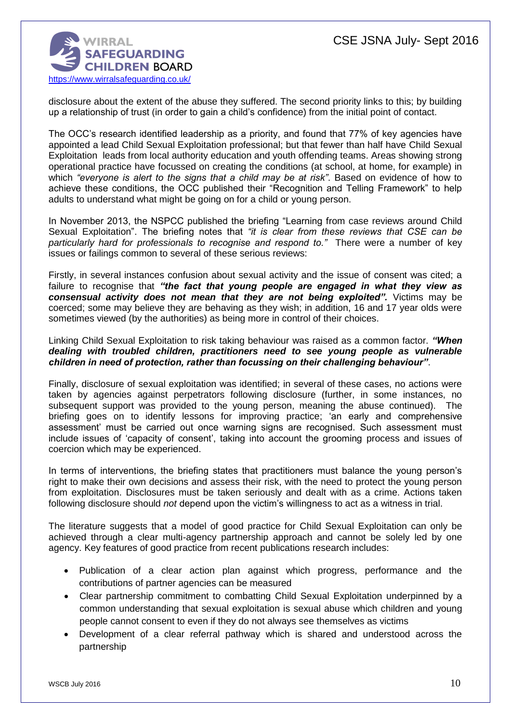

disclosure about the extent of the abuse they suffered. The second priority links to this; by building up a relationship of trust (in order to gain a child's confidence) from the initial point of contact.

The OCC's research identified leadership as a priority, and found that 77% of key agencies have appointed a lead Child Sexual Exploitation professional; but that fewer than half have Child Sexual Exploitation leads from local authority education and youth offending teams. Areas showing strong operational practice have focussed on creating the conditions (at school, at home, for example) in which *"everyone is alert to the signs that a child may be at risk"*. Based on evidence of how to achieve these conditions, the OCC published their "Recognition and Telling Framework" to help adults to understand what might be going on for a child or young person.

In November 2013, the NSPCC published the briefing "Learning from case reviews around Child Sexual Exploitation". The briefing notes that *"it is clear from these reviews that CSE can be particularly hard for professionals to recognise and respond to."* There were a number of key issues or failings common to several of these serious reviews:

Firstly, in several instances confusion about sexual activity and the issue of consent was cited; a failure to recognise that *"the fact that young people are engaged in what they view as consensual activity does not mean that they are not being exploited".* Victims may be coerced; some may believe they are behaving as they wish; in addition, 16 and 17 year olds were sometimes viewed (by the authorities) as being more in control of their choices.

Linking Child Sexual Exploitation to risk taking behaviour was raised as a common factor. *"When dealing with troubled children, practitioners need to see young people as vulnerable children in need of protection, rather than focussing on their challenging behaviour"*.

Finally, disclosure of sexual exploitation was identified; in several of these cases, no actions were taken by agencies against perpetrators following disclosure (further, in some instances, no subsequent support was provided to the young person, meaning the abuse continued). The briefing goes on to identify lessons for improving practice; 'an early and comprehensive assessment' must be carried out once warning signs are recognised. Such assessment must include issues of 'capacity of consent', taking into account the grooming process and issues of coercion which may be experienced.

In terms of interventions, the briefing states that practitioners must balance the young person's right to make their own decisions and assess their risk, with the need to protect the young person from exploitation. Disclosures must be taken seriously and dealt with as a crime. Actions taken following disclosure should *not* depend upon the victim's willingness to act as a witness in trial.

The literature suggests that a model of good practice for Child Sexual Exploitation can only be achieved through a clear multi-agency partnership approach and cannot be solely led by one agency. Key features of good practice from recent publications research includes:

- Publication of a clear action plan against which progress, performance and the contributions of partner agencies can be measured
- Clear partnership commitment to combatting Child Sexual Exploitation underpinned by a common understanding that sexual exploitation is sexual abuse which children and young people cannot consent to even if they do not always see themselves as victims
- Development of a clear referral pathway which is shared and understood across the partnership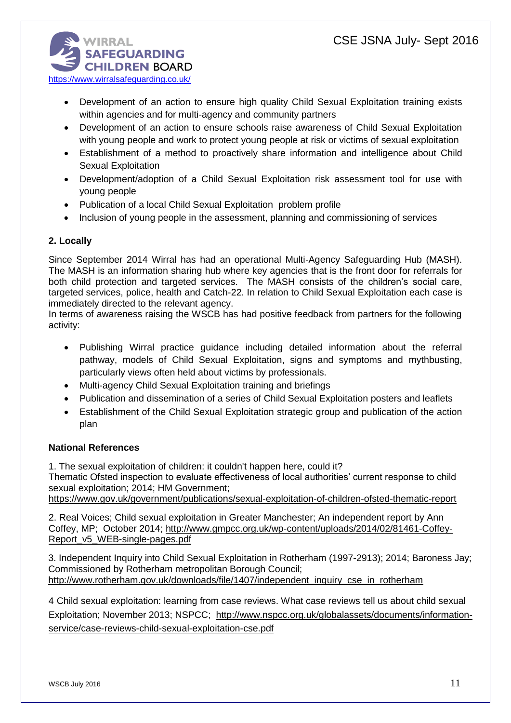**WIRRAL SAFEGUARDING CHILDREN BOARD** <https://www.wirralsafeguarding.co.uk/>

- Development of an action to ensure high quality Child Sexual Exploitation training exists within agencies and for multi-agency and community partners
- Development of an action to ensure schools raise awareness of Child Sexual Exploitation with young people and work to protect young people at risk or victims of sexual exploitation
- Establishment of a method to proactively share information and intelligence about Child Sexual Exploitation
- Development/adoption of a Child Sexual Exploitation risk assessment tool for use with young people
- Publication of a local Child Sexual Exploitation problem profile
- Inclusion of young people in the assessment, planning and commissioning of services

# **2. Locally**

Since September 2014 Wirral has had an operational Multi-Agency Safeguarding Hub (MASH). The MASH is an information sharing hub where key agencies that is the front door for referrals for both child protection and targeted services. The MASH consists of the children's social care, targeted services, police, health and Catch-22. In relation to Child Sexual Exploitation each case is immediately directed to the relevant agency.

In terms of awareness raising the WSCB has had positive feedback from partners for the following activity:

- Publishing Wirral practice guidance including detailed information about the referral pathway, models of Child Sexual Exploitation, signs and symptoms and mythbusting, particularly views often held about victims by professionals.
- Multi-agency Child Sexual Exploitation training and briefings
- Publication and dissemination of a series of Child Sexual Exploitation posters and leaflets
- Establishment of the Child Sexual Exploitation strategic group and publication of the action plan

# **National References**

1. The sexual exploitation of children: it couldn't happen here, could it?

Thematic Ofsted inspection to evaluate effectiveness of local authorities' current response to child sexual exploitation; 2014; HM Government;

<https://www.gov.uk/government/publications/sexual-exploitation-of-children-ofsted-thematic-report>

2. Real Voices; Child sexual exploitation in Greater Manchester; An independent report by Ann Coffey, MP; October 2014; [http://www.gmpcc.org.uk/wp-content/uploads/2014/02/81461-Coffey-](http://www.gmpcc.org.uk/wp-content/uploads/2014/02/81461-Coffey-Report_v5_WEB-single-pages.pdf)[Report\\_v5\\_WEB-single-pages.pdf](http://www.gmpcc.org.uk/wp-content/uploads/2014/02/81461-Coffey-Report_v5_WEB-single-pages.pdf)

3. Independent Inquiry into Child Sexual Exploitation in Rotherham (1997-2913); 2014; Baroness Jay; Commissioned by Rotherham metropolitan Borough Council; [http://www.rotherham.gov.uk/downloads/file/1407/independent\\_inquiry\\_cse\\_in\\_rotherham](http://www.rotherham.gov.uk/downloads/file/1407/independent_inquiry_cse_in_rotherham)

4 Child sexual exploitation: learning from case reviews. What case reviews tell us about child sexual Exploitation; November 2013; NSPCC; [http://www.nspcc.org.uk/globalassets/documents/information](http://www.nspcc.org.uk/globalassets/documents/information-service/case-reviews-child-sexual-exploitation-cse.pdf)[service/case-reviews-child-sexual-exploitation-cse.pdf](http://www.nspcc.org.uk/globalassets/documents/information-service/case-reviews-child-sexual-exploitation-cse.pdf)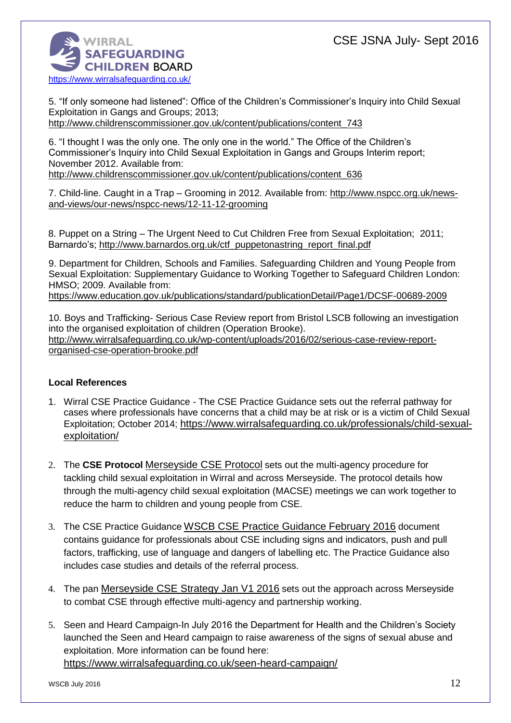

5. "If only someone had listened": Office of the Children's Commissioner's Inquiry into Child Sexual Exploitation in Gangs and Groups; 2013;

[http://www.childrenscommissioner.gov.uk/content/publications/content\\_743](http://www.childrenscommissioner.gov.uk/content/publications/content_743)

6. "I thought I was the only one. The only one in the world." The Office of the Children's Commissioner's Inquiry into Child Sexual Exploitation in Gangs and Groups Interim report; November 2012. Available from:

[http://www.childrenscommissioner.gov.uk/content/publications/content\\_636](http://www.childrenscommissioner.gov.uk/content/publications/content_636)

7. Child-line. Caught in a Trap – Grooming in 2012. Available from: [http://www.nspcc.org.uk/news](http://www.nspcc.org.uk/news-and-views/our-news/nspcc-news/12-11-12-grooming)[and-views/our-news/nspcc-news/12-11-12-grooming](http://www.nspcc.org.uk/news-and-views/our-news/nspcc-news/12-11-12-grooming)

8. Puppet on a String – The Urgent Need to Cut Children Free from Sexual Exploitation; 2011; Barnardo's; [http://www.barnardos.org.uk/ctf\\_puppetonastring\\_report\\_final.pdf](http://www.barnardos.org.uk/ctf_puppetonastring_report_final.pdf)

9. Department for Children, Schools and Families. Safeguarding Children and Young People from Sexual Exploitation: Supplementary Guidance to Working Together to Safeguard Children London: HMSO; 2009. Available from:

<https://www.education.gov.uk/publications/standard/publicationDetail/Page1/DCSF-00689-2009>

10. Boys and Trafficking- Serious Case Review report from Bristol LSCB following an investigation into the organised exploitation of children (Operation Brooke). [http://www.wirralsafeguarding.co.uk/wp-content/uploads/2016/02/serious-case-review-report](http://www.wirralsafeguarding.co.uk/wp-content/uploads/2016/02/serious-case-review-report-organised-cse-operation-brooke.pdf)[organised-cse-operation-brooke.pdf](http://www.wirralsafeguarding.co.uk/wp-content/uploads/2016/02/serious-case-review-report-organised-cse-operation-brooke.pdf)

# **Local References**

- 1. Wirral CSE Practice Guidance The CSE Practice Guidance sets out the referral pathway for cases where professionals have concerns that a child may be at risk or is a victim of Child Sexual Exploitation; October 2014; [https://www.wirralsafeguarding.co.uk/professionals/child-sexual](https://www.wirralsafeguarding.co.uk/professionals/child-sexual-exploitation/)[exploitation/](https://www.wirralsafeguarding.co.uk/professionals/child-sexual-exploitation/)
- 2. The **CSE Protocol** [Merseyside CSE Protocol](http://www.wirralsafeguarding.co.uk/wp-content/uploads/2016/02/Merseyside-CSE-Protocol-1.pdf) sets out the multi-agency procedure for tackling child sexual exploitation in Wirral and across Merseyside. The protocol details how through the multi-agency child sexual exploitation (MACSE) meetings we can work together to reduce the harm to children and young people from CSE.
- 3. The CSE Practice Guidance [WSCB CSE Practice Guidance February 2016](http://www.wirralsafeguarding.co.uk/wp-content/uploads/2016/03/wscb-cse-practice-guidance-february-2016.pdf) document contains guidance for professionals about CSE including signs and indicators, push and pull factors, trafficking, use of language and dangers of labelling etc. The Practice Guidance also includes case studies and details of the referral process.
- 4. The pan [Merseyside CSE Strategy Jan V1 2016](http://www.wirralsafeguarding.co.uk/wp-content/uploads/2016/03/merseyside-cse-strategy-jan-v1-2016.pdf) sets out the approach across Merseyside to combat CSE through effective multi-agency and partnership working.
- 5. Seen and Heard Campaign-In July 2016 the Department for Health and the Children's Society launched the Seen and Heard campaign to raise awareness of the signs of sexual abuse and exploitation. More information can be found here: <https://www.wirralsafeguarding.co.uk/seen-heard-campaign/>